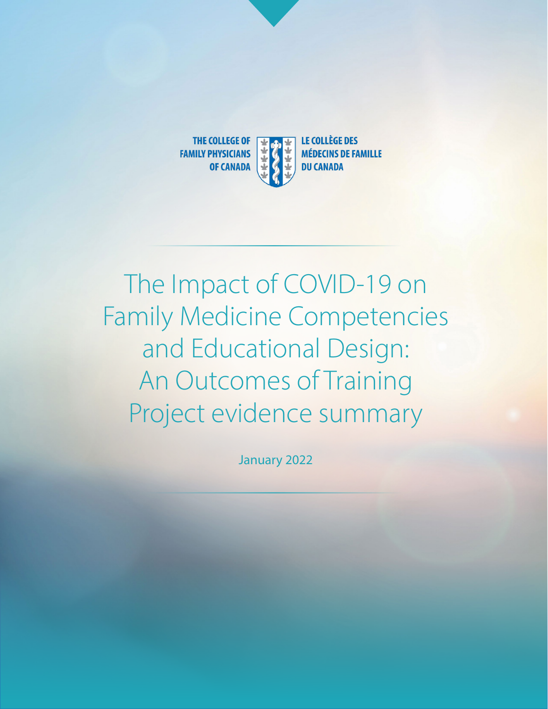

# The Impact of COVID-19 on Family Medicine Competencies and Educational Design: An Outcomes of Training Project evidence summary

January 2022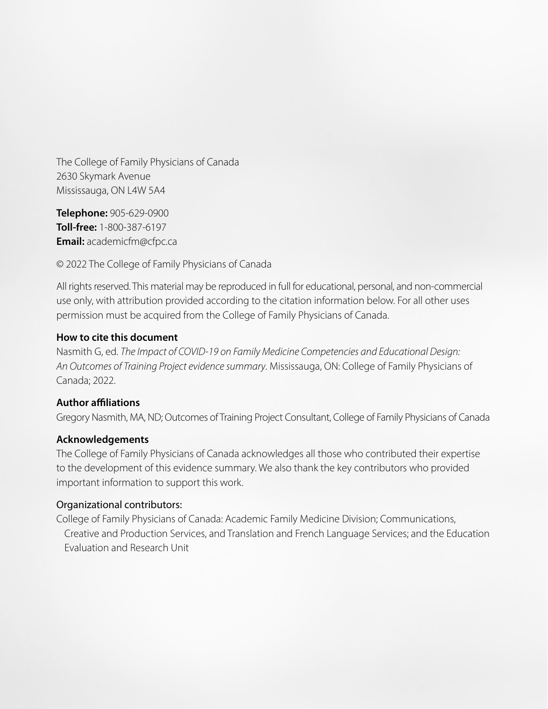The College of Family Physicians of Canada 2630 Skymark Avenue Mississauga, ON L4W 5A4

**Telephone:** 905-629-0900 **Toll-free:** 1-800-387-6197 **Email:** academicfm@cfpc.ca

© 2022 The College of Family Physicians of Canada

All rights reserved. This material may be reproduced in full for educational, personal, and non-commercial use only, with attribution provided according to the citation information below. For all other uses permission must be acquired from the College of Family Physicians of Canada.

#### **How to cite this document**

Nasmith G, ed. *The Impact of COVID-19 on Family Medicine Competencies and Educational Design: An Outcomes of Training Project evidence summary*. Mississauga, ON: College of Family Physicians of Canada; 2022.

### **Author affiliations**

Gregory Nasmith, MA, ND; Outcomes of Training Project Consultant, College of Family Physicians of Canada

#### **Acknowledgements**

The College of Family Physicians of Canada acknowledges all those who contributed their expertise to the development of this evidence summary. We also thank the key contributors who provided important information to support this work.

#### Organizational contributors:

College of Family Physicians of Canada: Academic Family Medicine Division; Communications, Creative and Production Services, and Translation and French Language Services; and the Education Evaluation and Research Unit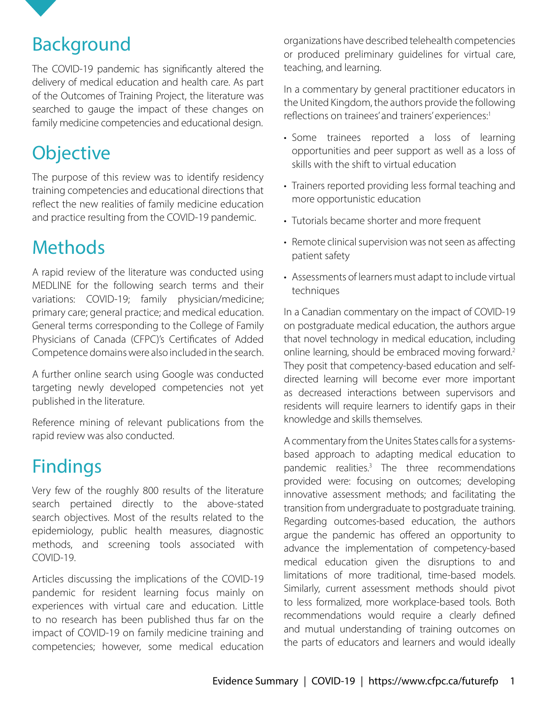The COVID-19 pandemic has significantly altered the delivery of medical education and health care. As part of the Outcomes of Training Project, the literature was searched to gauge the impact of these changes on family medicine competencies and educational design.

### **Objective**

<span id="page-2-0"></span>Background

The purpose of this review was to identify residency training competencies and educational directions that reflect the new realities of family medicine education and practice resulting from the COVID-19 pandemic.

## Methods

A rapid review of the literature was conducted using MEDLINE for the following search terms and their variations: COVID-19; family physician/medicine; primary care; general practice; and medical education. General terms corresponding to the College of Family Physicians of Canada (CFPC)'s Certificates of Added Competence domains were also included in the search.

A further online search using Google was conducted targeting newly developed competencies not yet published in the literature.

Reference mining of relevant publications from the rapid review was also conducted.

## Findings

Very few of the roughly 800 results of the literature search pertained directly to the above-stated search objectives. Most of the results related to the epidemiology, public health measures, diagnostic methods, and screening tools associated with COVID-19.

Articles discussing the implications of the COVID-19 pandemic for resident learning focus mainly on experiences with virtual care and education. Little to no research has been published thus far on the impact of COVID-19 on family medicine training and competencies; however, some medical education

organizations have described telehealth competencies or produced preliminary guidelines for virtual care, teaching, and learning.

In a commentary by general practitioner educators in the United Kingdom, the authors provide the following reflections on trainees' and trainers' experiences:<sup>[1](#page-4-0)</sup>

- Some trainees reported a loss of learning opportunities and peer support as well as a loss of skills with the shift to virtual education
- Trainers reported providing less formal teaching and more opportunistic education
- Tutorials became shorter and more frequent
- Remote clinical supervision was not seen as affecting patient safety
- Assessments of learners must adapt to include virtual techniques

In a Canadian commentary on the impact of COVID-19 on postgraduate medical education, the authors argue that novel technology in medical education, including online learning, should be embraced moving forward.<sup>[2](#page-4-0)</sup> They posit that competency-based education and selfdirected learning will become ever more important as decreased interactions between supervisors and residents will require learners to identify gaps in their knowledge and skills themselves.

A commentary from the Unites States calls for a systemsbased approach to adapting medical education to pandemic realities[.3](#page-4-0) The three recommendations provided were: focusing on outcomes; developing innovative assessment methods; and facilitating the transition from undergraduate to postgraduate training. Regarding outcomes-based education, the authors argue the pandemic has offered an opportunity to advance the implementation of competency-based medical education given the disruptions to and limitations of more traditional, time-based models. Similarly, current assessment methods should pivot to less formalized, more workplace-based tools. Both recommendations would require a clearly defined and mutual understanding of training outcomes on the parts of educators and learners and would ideally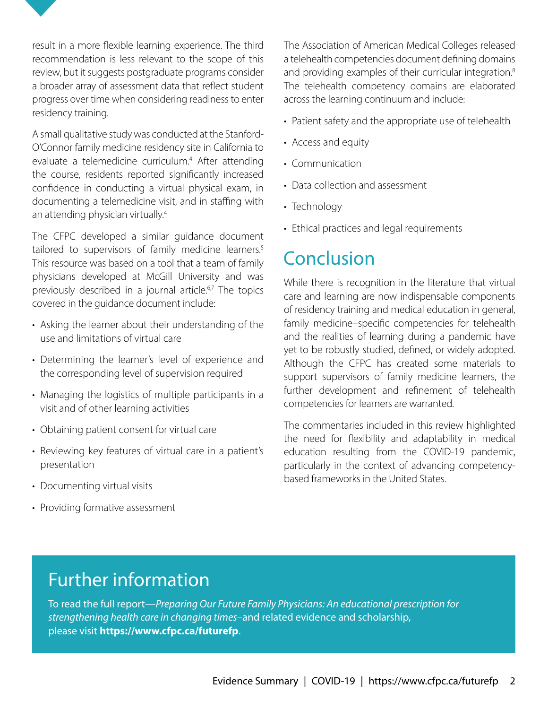<span id="page-3-0"></span>result in a more flexible learning experience. The third recommendation is less relevant to the scope of this review, but it suggests postgraduate programs consider a broader array of assessment data that reflect student progress over time when considering readiness to enter residency training.

A small qualitative study was conducted at the Stanford-O'Connor family medicine residency site in California to evaluate a telemedicine curriculum.[4](#page-4-0) After attending the course, residents reported significantly increased confidence in conducting a virtual physical exam, in documenting a telemedicine visit, and in staffing with an attending physician virtually.4

The CFPC developed a similar guidance document tailored to supervisors of family medicine learners.<sup>5</sup> This resource was based on a tool that a team of family physicians developed at McGill University and was previously described in a journal article.<sup>[6,7](#page-4-0)</sup> The topics covered in the guidance document include:

- Asking the learner about their understanding of the use and limitations of virtual care
- Determining the learner's level of experience and the corresponding level of supervision required
- Managing the logistics of multiple participants in a visit and of other learning activities
- Obtaining patient consent for virtual care
- Reviewing key features of virtual care in a patient's presentation
- Documenting virtual visits
- Providing formative assessment

The Association of American Medical Colleges released a telehealth competencies document defining domains and providing examples of their curricular integration.<sup>[8](#page-4-0)</sup> The telehealth competency domains are elaborated across the learning continuum and include:

- Patient safety and the appropriate use of telehealth
- Access and equity
- Communication
- Data collection and assessment
- Technology
- Ethical practices and legal requirements

### **Conclusion**

While there is recognition in the literature that virtual care and learning are now indispensable components of residency training and medical education in general, family medicine–specific competencies for telehealth and the realities of learning during a pandemic have yet to be robustly studied, defined, or widely adopted. Although the CFPC has created some materials to support supervisors of family medicine learners, the further development and refinement of telehealth competencies for learners are warranted.

The commentaries included in this review highlighted the need for flexibility and adaptability in medical education resulting from the COVID-19 pandemic, particularly in the context of advancing competencybased frameworks in the United States.

### Further information

To read the full report—*Preparing Our Future Family Physicians: An educational prescription for strengthening health care in changing times*–and related evidence and scholarship, please visit **https://www.cfpc.ca/futurefp**.